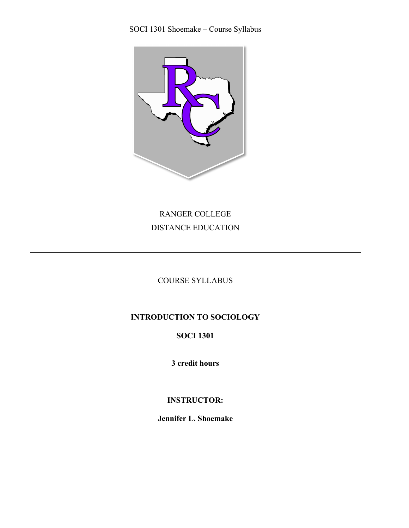

RANGER COLLEGE DISTANCE EDUCATION

COURSE SYLLABUS

# **INTRODUCTION TO SOCIOLOGY**

## **SOCI 1301**

**3 credit hours**

## **INSTRUCTOR:**

**Jennifer L. Shoemake**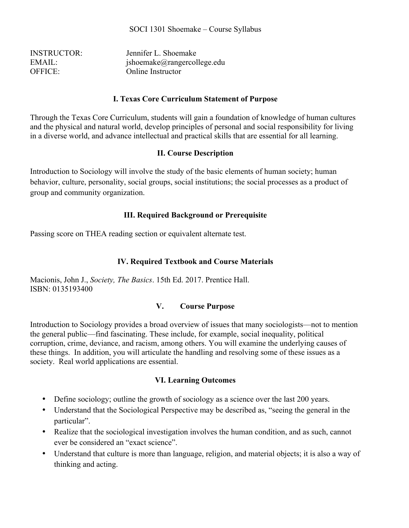| <b>INSTRUCTOR:</b> | Jennifer L. Shoemake               |
|--------------------|------------------------------------|
| EMAIL:             | $jsho$ emake $@$ rangercollege.edu |
| <b>OFFICE:</b>     | Online Instructor                  |

#### **I. Texas Core Curriculum Statement of Purpose**

Through the Texas Core Curriculum, students will gain a foundation of knowledge of human cultures and the physical and natural world, develop principles of personal and social responsibility for living in a diverse world, and advance intellectual and practical skills that are essential for all learning.

#### **II. Course Description**

Introduction to Sociology will involve the study of the basic elements of human society; human behavior, culture, personality, social groups, social institutions; the social processes as a product of group and community organization.

#### **III. Required Background or Prerequisite**

Passing score on THEA reading section or equivalent alternate test.

### **IV. Required Textbook and Course Materials**

Macionis, John J., *Society, The Basics*. 15th Ed. 2017. Prentice Hall. ISBN: 0135193400

#### **V. Course Purpose**

Introduction to Sociology provides a broad overview of issues that many sociologists—not to mention the general public—find fascinating. These include, for example, social inequality, political corruption, crime, deviance, and racism, among others. You will examine the underlying causes of these things. In addition, you will articulate the handling and resolving some of these issues as a society. Real world applications are essential.

#### **VI. Learning Outcomes**

- Define sociology; outline the growth of sociology as a science over the last 200 years.
- Understand that the Sociological Perspective may be described as, "seeing the general in the particular".
- Realize that the sociological investigation involves the human condition, and as such, cannot ever be considered an "exact science".
- Understand that culture is more than language, religion, and material objects; it is also a way of thinking and acting.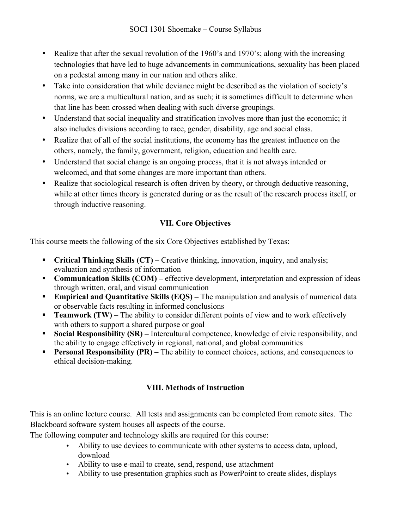- Realize that after the sexual revolution of the 1960's and 1970's; along with the increasing technologies that have led to huge advancements in communications, sexuality has been placed on a pedestal among many in our nation and others alike.
- Take into consideration that while deviance might be described as the violation of society's norms, we are a multicultural nation, and as such; it is sometimes difficult to determine when that line has been crossed when dealing with such diverse groupings.
- Understand that social inequality and stratification involves more than just the economic; it also includes divisions according to race, gender, disability, age and social class.
- Realize that of all of the social institutions, the economy has the greatest influence on the others, namely, the family, government, religion, education and health care.
- Understand that social change is an ongoing process, that it is not always intended or welcomed, and that some changes are more important than others.
- Realize that sociological research is often driven by theory, or through deductive reasoning, while at other times theory is generated during or as the result of the research process itself, or through inductive reasoning.

## **VII. Core Objectives**

This course meets the following of the six Core Objectives established by Texas:

- **Critical Thinking Skills (CT)** Creative thinking, innovation, inquiry, and analysis; evaluation and synthesis of information
- **Communication Skills (COM)** effective development, interpretation and expression of ideas through written, oral, and visual communication
- **Empirical and Quantitative Skills (EQS)** The manipulation and analysis of numerical data or observable facts resulting in informed conclusions
- **Teamwork (TW)** The ability to consider different points of view and to work effectively with others to support a shared purpose or goal
- **Social Responsibility (SR)** Intercultural competence, knowledge of civic responsibility, and the ability to engage effectively in regional, national, and global communities
- **Personal Responsibility (PR)** The ability to connect choices, actions, and consequences to ethical decision-making.

## **VIII. Methods of Instruction**

This is an online lecture course. All tests and assignments can be completed from remote sites. The Blackboard software system houses all aspects of the course.

The following computer and technology skills are required for this course:

- Ability to use devices to communicate with other systems to access data, upload, download
- Ability to use e-mail to create, send, respond, use attachment
- Ability to use presentation graphics such as PowerPoint to create slides, displays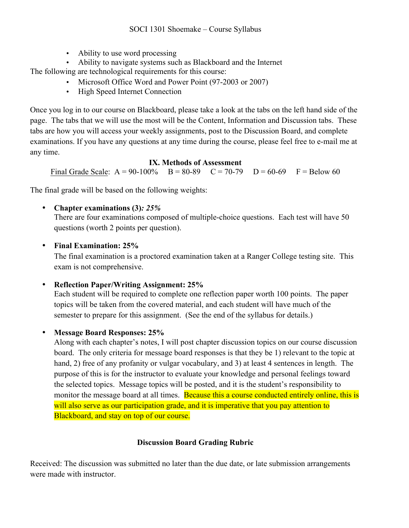• Ability to use word processing

• Ability to navigate systems such as Blackboard and the Internet The following are technological requirements for this course:

- Microsoft Office Word and Power Point (97-2003 or 2007)
- High Speed Internet Connection

Once you log in to our course on Blackboard, please take a look at the tabs on the left hand side of the page. The tabs that we will use the most will be the Content, Information and Discussion tabs. These tabs are how you will access your weekly assignments, post to the Discussion Board, and complete examinations. If you have any questions at any time during the course, please feel free to e-mail me at any time.

### **IX. Methods of Assessment**

Final Grade Scale:  $A = 90-100\%$  B = 80-89 C = 70-79 D = 60-69 F = Below 60

The final grade will be based on the following weights:

• **Chapter examinations (3)***: 25%* 

There are four examinations composed of multiple-choice questions. Each test will have 50 questions (worth 2 points per question).

## • **Final Examination: 25%**

The final examination is a proctored examination taken at a Ranger College testing site. This exam is not comprehensive.

• **Reflection Paper/Writing Assignment: 25%** 

Each student will be required to complete one reflection paper worth 100 points. The paper topics will be taken from the covered material, and each student will have much of the semester to prepare for this assignment. (See the end of the syllabus for details.)

## • **Message Board Responses: 25%**

Along with each chapter's notes, I will post chapter discussion topics on our course discussion board. The only criteria for message board responses is that they be 1) relevant to the topic at hand, 2) free of any profanity or vulgar vocabulary, and 3) at least 4 sentences in length. The purpose of this is for the instructor to evaluate your knowledge and personal feelings toward the selected topics. Message topics will be posted, and it is the student's responsibility to monitor the message board at all times. Because this a course conducted entirely online, this is will also serve as our participation grade, and it is imperative that you pay attention to Blackboard, and stay on top of our course.

## **Discussion Board Grading Rubric**

Received: The discussion was submitted no later than the due date, or late submission arrangements were made with instructor.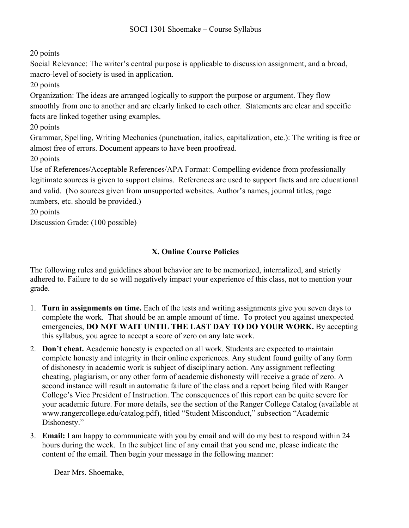20 points

Social Relevance: The writer's central purpose is applicable to discussion assignment, and a broad, macro-level of society is used in application.

20 points

Organization: The ideas are arranged logically to support the purpose or argument. They flow smoothly from one to another and are clearly linked to each other. Statements are clear and specific facts are linked together using examples.

20 points

Grammar, Spelling, Writing Mechanics (punctuation, italics, capitalization, etc.): The writing is free or almost free of errors. Document appears to have been proofread.

20 points

Use of References/Acceptable References/APA Format: Compelling evidence from professionally legitimate sources is given to support claims. References are used to support facts and are educational and valid. (No sources given from unsupported websites. Author's names, journal titles, page numbers, etc. should be provided.)

20 points

Discussion Grade: (100 possible)

## **X. Online Course Policies**

The following rules and guidelines about behavior are to be memorized, internalized, and strictly adhered to. Failure to do so will negatively impact your experience of this class, not to mention your grade.

- 1. **Turn in assignments on time.** Each of the tests and writing assignments give you seven days to complete the work. That should be an ample amount of time. To protect you against unexpected emergencies, **DO NOT WAIT UNTIL THE LAST DAY TO DO YOUR WORK.** By accepting this syllabus, you agree to accept a score of zero on any late work.
- 2. **Don't cheat.** Academic honesty is expected on all work. Students are expected to maintain complete honesty and integrity in their online experiences. Any student found guilty of any form of dishonesty in academic work is subject of disciplinary action. Any assignment reflecting cheating, plagiarism, or any other form of academic dishonesty will receive a grade of zero. A second instance will result in automatic failure of the class and a report being filed with Ranger College's Vice President of Instruction. The consequences of this report can be quite severe for your academic future. For more details, see the section of the Ranger College Catalog (available at www.rangercollege.edu/catalog.pdf), titled "Student Misconduct," subsection "Academic Dishonesty."
- 3. **Email:** I am happy to communicate with you by email and will do my best to respond within 24 hours during the week. In the subject line of any email that you send me, please indicate the content of the email. Then begin your message in the following manner:

Dear Mrs. Shoemake,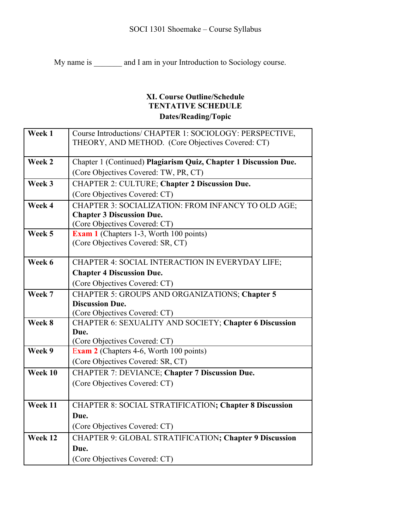My name is \_\_\_\_\_\_\_ and I am in your Introduction to Sociology course.

## **XI. Course Outline/Schedule TENTATIVE SCHEDULE Dates/Reading/Topic**

| Week 1  | Course Introductions/ CHAPTER 1: SOCIOLOGY: PERSPECTIVE,         |
|---------|------------------------------------------------------------------|
|         | THEORY, AND METHOD. (Core Objectives Covered: CT)                |
|         |                                                                  |
| Week 2  | Chapter 1 (Continued) Plagiarism Quiz, Chapter 1 Discussion Due. |
|         | (Core Objectives Covered: TW, PR, CT)                            |
| Week 3  | <b>CHAPTER 2: CULTURE; Chapter 2 Discussion Due.</b>             |
|         | (Core Objectives Covered: CT)                                    |
| Week 4  | CHAPTER 3: SOCIALIZATION: FROM INFANCY TO OLD AGE;               |
|         | <b>Chapter 3 Discussion Due.</b>                                 |
|         | (Core Objectives Covered: CT)                                    |
| Week 5  | <b>Exam 1</b> (Chapters 1-3, Worth 100 points)                   |
|         | (Core Objectives Covered: SR, CT)                                |
|         |                                                                  |
| Week 6  | CHAPTER 4: SOCIAL INTERACTION IN EVERYDAY LIFE;                  |
|         | <b>Chapter 4 Discussion Due.</b>                                 |
|         | (Core Objectives Covered: CT)                                    |
| Week 7  | <b>CHAPTER 5: GROUPS AND ORGANIZATIONS; Chapter 5</b>            |
|         | <b>Discussion Due.</b>                                           |
|         | (Core Objectives Covered: CT)                                    |
| Week 8  | CHAPTER 6: SEXUALITY AND SOCIETY; Chapter 6 Discussion           |
|         | Due.                                                             |
| Week 9  | (Core Objectives Covered: CT)                                    |
|         | Exam 2 (Chapters 4-6, Worth 100 points)                          |
|         | (Core Objectives Covered: SR, CT)                                |
| Week 10 | <b>CHAPTER 7: DEVIANCE; Chapter 7 Discussion Due.</b>            |
|         | (Core Objectives Covered: CT)                                    |
|         |                                                                  |
| Week 11 | <b>CHAPTER 8: SOCIAL STRATIFICATION; Chapter 8 Discussion</b>    |
|         | Due.                                                             |
|         | (Core Objectives Covered: CT)                                    |
| Week 12 | CHAPTER 9: GLOBAL STRATIFICATION; Chapter 9 Discussion           |
|         | Due.                                                             |
|         | (Core Objectives Covered: CT)                                    |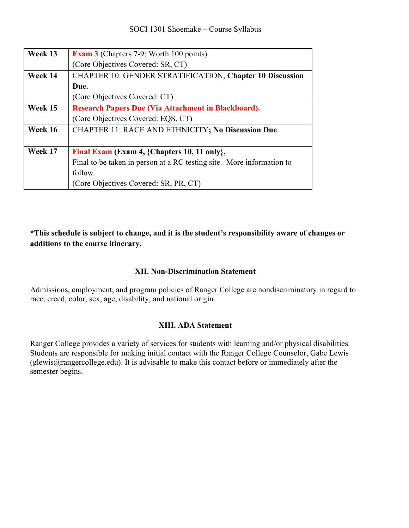| Week 13 | <b>Exam 3</b> (Chapters 7-9; Worth 100 points)                        |
|---------|-----------------------------------------------------------------------|
|         | (Core Objectives Covered: SR, CT)                                     |
| Week 14 | <b>CHAPTER 10: GENDER STRATIFICATION; Chapter 10 Discussion</b>       |
|         | Due.                                                                  |
|         | (Core Objectives Covered: CT)                                         |
| Week 15 | Research Papers Due (Via Attachment in Blackboard).                   |
|         | (Core Objectives Covered: EQS, CT)                                    |
| Week 16 | <b>CHAPTER 11: RACE AND ETHNICITY; No Discussion Due</b>              |
|         |                                                                       |
| Week 17 | Final Exam (Exam 4, {Chapters 10, 11 only},                           |
|         | Final to be taken in person at a RC testing site. More information to |
|         | follow.                                                               |
|         | (Core Objectives Covered: SR, PR, CT)                                 |

**\*This schedule is subject to change, and it is the student's responsibility aware of changes or additions to the course itinerary.**

#### **XII. Non-Discrimination Statement**

Admissions, employment, and program policies of Ranger College are nondiscriminatory in regard to race, creed, color, sex, age, disability, and national origin.

#### **XIII. ADA Statement**

Ranger College provides a variety of services for students with learning and/or physical disabilities. Students are responsible for making initial contact with the Ranger College Counselor, Gabe Lewis (glewis@rangercollege.edu). It is advisable to make this contact before or immediately after the semester begins.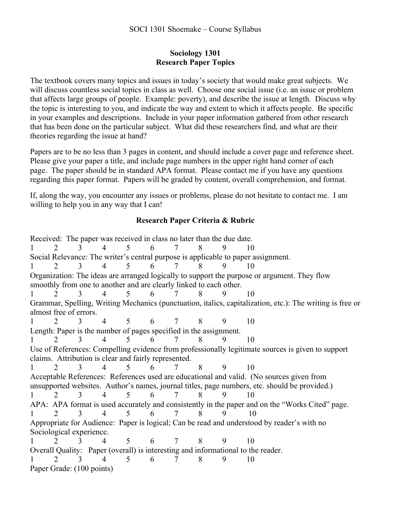#### **Sociology 1301 Research Paper Topics**

The textbook covers many topics and issues in today's society that would make great subjects. We will discuss countless social topics in class as well. Choose one social issue (i.e. an issue or problem that affects large groups of people. Example: poverty), and describe the issue at length. Discuss why the topic is interesting to you, and indicate the way and extent to which it affects people. Be specific in your examples and descriptions. Include in your paper information gathered from other research that has been done on the particular subject. What did these researchers find, and what are their theories regarding the issue at hand?

Papers are to be no less than 3 pages in content, and should include a cover page and reference sheet. Please give your paper a title, and include page numbers in the upper right hand corner of each page. The paper should be in standard APA format. Please contact me if you have any questions regarding this paper format. Papers will be graded by content, overall comprehension, and format.

If, along the way, you encounter any issues or problems, please do not hesitate to contact me. I am willing to help you in any way that I can!

## **Research Paper Criteria & Rubric**

Received: The paper was received in class no later than the due date. 1 2 3 4 5 6 7 8 9 10 Social Relevance: The writer's central purpose is applicable to paper assignment. 1 2 3 4 5 6 7 8 9 10 Organization: The ideas are arranged logically to support the purpose or argument. They flow smoothly from one to another and are clearly linked to each other. 1 2 3 4 5 6 7 8 9 10 Grammar, Spelling, Writing Mechanics (punctuation, italics, capitalization, etc.): The writing is free or almost free of errors. 1 2 3 4 5 6 7 8 9 10 Length: Paper is the number of pages specified in the assignment. 1 2 3 4 5 6 7 8 9 10 Use of References: Compelling evidence from professionally legitimate sources is given to support claims. Attribution is clear and fairly represented. 1 2 3 4 5 6 7 8 9 10 Acceptable References: References used are educational and valid. (No sources given from unsupported websites. Author's names, journal titles, page numbers, etc. should be provided.) 1 2 3 4 5 6 7 8 9 10 APA: APA format is used accurately and consistently in the paper and on the "Works Cited" page. 1 2 3 4 5 6 7 8 9 10 Appropriate for Audience: Paper is logical; Can be read and understood by reader's with no Sociological experience. 1 2 3 4 5 6 7 8 9 10 Overall Quality: Paper (overall) is interesting and informational to the reader. 1 2 3 4 5 6 7 8 9 10 Paper Grade: (100 points)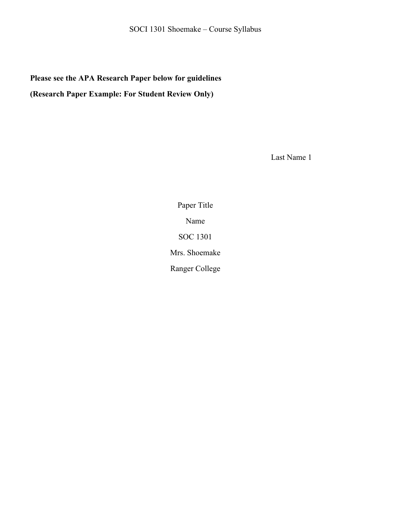# **Please see the APA Research Paper below for guidelines (Research Paper Example: For Student Review Only)**

Last Name 1

Paper Title Name SOC 1301 Mrs. Shoemake Ranger College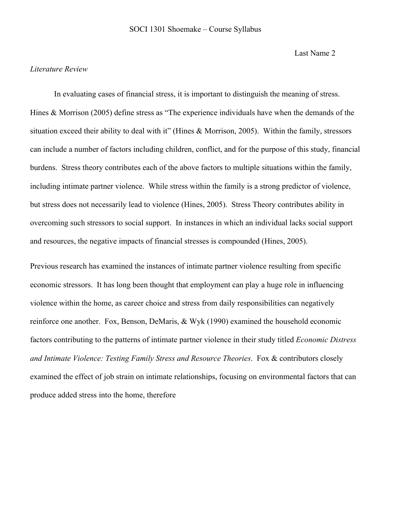Last Name 2

#### *Literature Review*

In evaluating cases of financial stress, it is important to distinguish the meaning of stress. Hines & Morrison (2005) define stress as "The experience individuals have when the demands of the situation exceed their ability to deal with it" (Hines & Morrison, 2005). Within the family, stressors can include a number of factors including children, conflict, and for the purpose of this study, financial burdens. Stress theory contributes each of the above factors to multiple situations within the family, including intimate partner violence. While stress within the family is a strong predictor of violence, but stress does not necessarily lead to violence (Hines, 2005). Stress Theory contributes ability in overcoming such stressors to social support. In instances in which an individual lacks social support and resources, the negative impacts of financial stresses is compounded (Hines, 2005).

Previous research has examined the instances of intimate partner violence resulting from specific economic stressors. It has long been thought that employment can play a huge role in influencing violence within the home, as career choice and stress from daily responsibilities can negatively reinforce one another. Fox, Benson, DeMaris, & Wyk (1990) examined the household economic factors contributing to the patterns of intimate partner violence in their study titled *Economic Distress and Intimate Violence: Testing Family Stress and Resource Theories*. Fox & contributors closely examined the effect of job strain on intimate relationships, focusing on environmental factors that can produce added stress into the home, therefore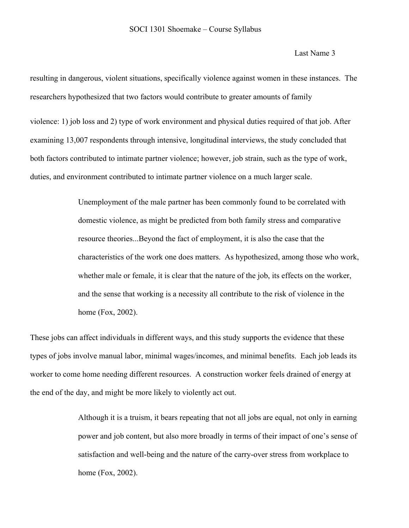Last Name 3

resulting in dangerous, violent situations, specifically violence against women in these instances. The researchers hypothesized that two factors would contribute to greater amounts of family

violence: 1) job loss and 2) type of work environment and physical duties required of that job. After examining 13,007 respondents through intensive, longitudinal interviews, the study concluded that both factors contributed to intimate partner violence; however, job strain, such as the type of work, duties, and environment contributed to intimate partner violence on a much larger scale.

> Unemployment of the male partner has been commonly found to be correlated with domestic violence, as might be predicted from both family stress and comparative resource theories...Beyond the fact of employment, it is also the case that the characteristics of the work one does matters. As hypothesized, among those who work, whether male or female, it is clear that the nature of the job, its effects on the worker, and the sense that working is a necessity all contribute to the risk of violence in the home (Fox, 2002).

These jobs can affect individuals in different ways, and this study supports the evidence that these types of jobs involve manual labor, minimal wages/incomes, and minimal benefits. Each job leads its worker to come home needing different resources. A construction worker feels drained of energy at the end of the day, and might be more likely to violently act out.

> Although it is a truism, it bears repeating that not all jobs are equal, not only in earning power and job content, but also more broadly in terms of their impact of one's sense of satisfaction and well-being and the nature of the carry-over stress from workplace to home (Fox, 2002).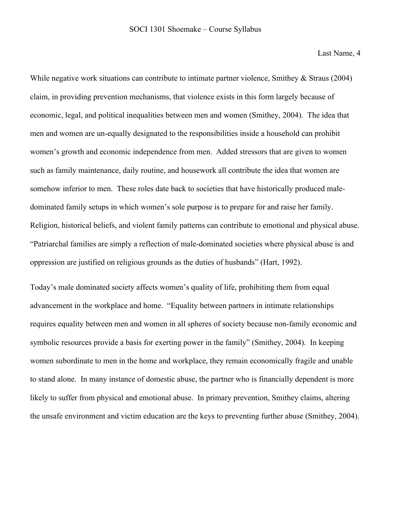Last Name, 4

While negative work situations can contribute to intimate partner violence, Smithey & Straus (2004) claim, in providing prevention mechanisms, that violence exists in this form largely because of economic, legal, and political inequalities between men and women (Smithey, 2004). The idea that men and women are un-equally designated to the responsibilities inside a household can prohibit women's growth and economic independence from men. Added stressors that are given to women such as family maintenance, daily routine, and housework all contribute the idea that women are somehow inferior to men. These roles date back to societies that have historically produced maledominated family setups in which women's sole purpose is to prepare for and raise her family. Religion, historical beliefs, and violent family patterns can contribute to emotional and physical abuse. "Patriarchal families are simply a reflection of male-dominated societies where physical abuse is and oppression are justified on religious grounds as the duties of husbands" (Hart, 1992).

Today's male dominated society affects women's quality of life, prohibiting them from equal advancement in the workplace and home. "Equality between partners in intimate relationships requires equality between men and women in all spheres of society because non-family economic and symbolic resources provide a basis for exerting power in the family" (Smithey, 2004). In keeping women subordinate to men in the home and workplace, they remain economically fragile and unable to stand alone. In many instance of domestic abuse, the partner who is financially dependent is more likely to suffer from physical and emotional abuse. In primary prevention, Smithey claims, altering the unsafe environment and victim education are the keys to preventing further abuse (Smithey, 2004).